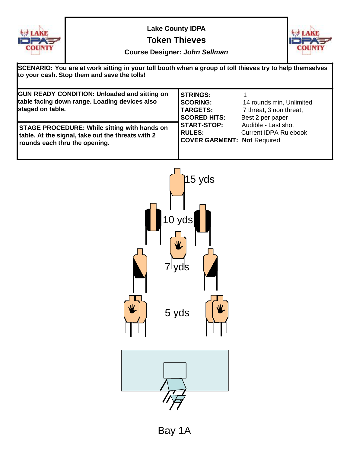

**Lake County IDPA Token Thieves**



### **Course Designer:** *John Sellman*

**SCENARIO: You are at work sitting in your toll booth when a group of toll thieves try to help themselves to your cash. Stop them and save the tolls!**

| <b>GUN READY CONDITION: Unloaded and sitting on</b><br>table facing down range. Loading devices also<br>staged on table.                  | <b>ISTRINGS:</b><br><b>SCORING:</b><br><b>TARGETS:</b><br><b>SCORED HITS:</b> | 14 rounds min, Unlimited<br>7 threat, 3 non threat,<br>Best 2 per paper |
|-------------------------------------------------------------------------------------------------------------------------------------------|-------------------------------------------------------------------------------|-------------------------------------------------------------------------|
| <b>STAGE PROCEDURE: While sitting with hands on</b><br>table. At the signal, take out the threats with 2<br>rounds each thru the opening. | <b>START-STOP:</b><br><b>RULES:</b><br><b>COVER GARMENT: Not Required</b>     | Audible - Last shot<br><b>Current IDPA Rulebook</b>                     |

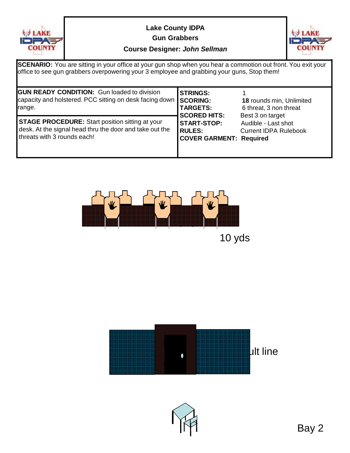

**Lake County IDPA Gun Grabbers**



#### **Course Designer:** *John Sellman*

**SCENARIO:** You are sitting in your office at your gun shop when you hear a commotion out front. You exit your office to see gun grabbers overpowering your 3 employee and grabbing your guns, Stop them!

| <b>GUN READY CONDITION: Gun loaded to division</b><br>capacity and holstered. PCC sitting on desk facing down SCORING:<br>range.                 | <b>STRINGS:</b><br><b>TARGETS:</b><br><b>SCORED HITS:</b>             | 18 rounds min, Unlimited<br>6 threat, 3 non threat<br>Best 3 on target |
|--------------------------------------------------------------------------------------------------------------------------------------------------|-----------------------------------------------------------------------|------------------------------------------------------------------------|
| <b>STAGE PROCEDURE:</b> Start position sitting at your<br>desk. At the signal head thru the door and take out the<br>threats with 3 rounds each! | <b>START-STOP:</b><br><b>RULES:</b><br><b>COVER GARMENT: Required</b> | Audible - Last shot<br><b>Current IDPA Rulebook</b>                    |





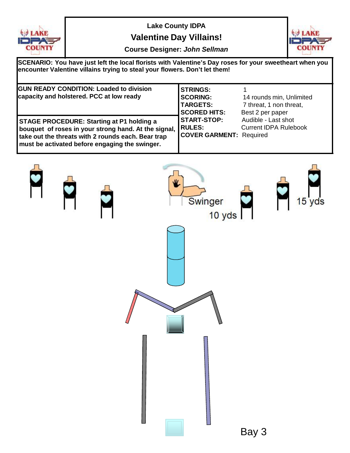

**Lake County IDPA**

**Valentine Day Villains!**



**Course Designer:** *John Sellman*

**SCENARIO: You have just left the local florists with Valentine's Day roses for your sweetheart when you encounter Valentine villains trying to steal your flowers. Don't let them!**

| <b>GUN READY CONDITION: Loaded to division</b><br>capacity and holstered. PCC at low ready               | <b>STRINGS:</b><br><b>SCORING:</b><br><b>TARGETS:</b> | 14 rounds min, Unlimited<br>7 threat, 1 non threat, |
|----------------------------------------------------------------------------------------------------------|-------------------------------------------------------|-----------------------------------------------------|
|                                                                                                          | <b>SCORED HITS:</b>                                   | Best 2 per paper                                    |
| <b>STAGE PROCEDURE: Starting at P1 holding a</b><br>bouquet of roses in your strong hand. At the signal, | <b>START-STOP:</b><br><b>RULES:</b>                   | Audible - Last shot<br><b>Current IDPA Rulebook</b> |
| take out the threats with 2 rounds each. Bear trap<br>must be activated before engaging the swinger.     | <b>COVER GARMENT: Required</b>                        |                                                     |

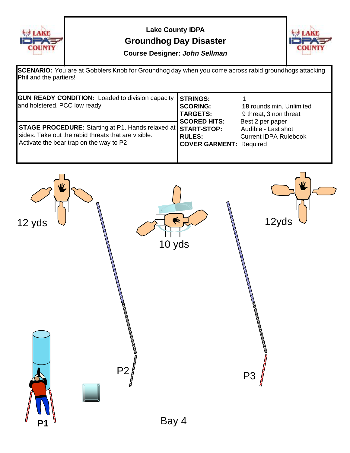

## **Lake County IDPA Groundhog Day Disaster**



#### **Course Designer:** *John Sellman*

**SCENARIO:** You are at Gobblers Knob for Groundhog day when you come across rabid groundhogs attacking Phil and the partiers!

| <b>GUN READY CONDITION:</b> Loaded to division capacity<br>and holstered. PCC low ready                                                                                       | <b>STRINGS:</b><br><b>SCORING:</b><br><b>TARGETS:</b><br><b>SCORED HITS:</b> | 18 rounds min, Unlimited<br>9 threat, 3 non threat<br>Best 2 per paper |
|-------------------------------------------------------------------------------------------------------------------------------------------------------------------------------|------------------------------------------------------------------------------|------------------------------------------------------------------------|
| <b>STAGE PROCEDURE:</b> Starting at P1. Hands relaxed at <b>START-STOP:</b><br>sides. Take out the rabid threats that are visible.<br>Activate the bear trap on the way to P2 | <b>RULES:</b><br><b>COVER GARMENT: Required</b>                              | Audible - Last shot<br><b>Current IDPA Rulebook</b>                    |

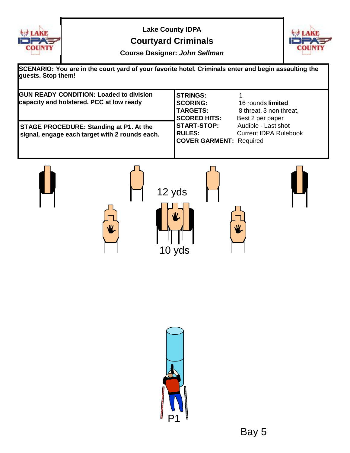

**Lake County IDPA Courtyard Criminals**



## **Course Designer:** *John Sellman*

**SCENARIO: You are in the court yard of your favorite hotel. Criminals enter and begin assaulting the guests. Stop them!**

| <b>GUN READY CONDITION: Loaded to division</b><br>capacity and holstered. PCC at low ready       | <b>STRINGS:</b><br><b>SCORING:</b><br><b>TARGETS:</b><br><b>SCORED HITS:</b> | 16 rounds limited<br>8 threat, 3 non threat,<br>Best 2 per paper |
|--------------------------------------------------------------------------------------------------|------------------------------------------------------------------------------|------------------------------------------------------------------|
| <b>STAGE PROCEDURE: Standing at P1. At the</b><br>signal, engage each target with 2 rounds each. | <b>START-STOP:</b><br><b>RULES:</b><br><b>COVER GARMENT: Required</b>        | Audible - Last shot<br><b>Current IDPA Rulebook</b>              |





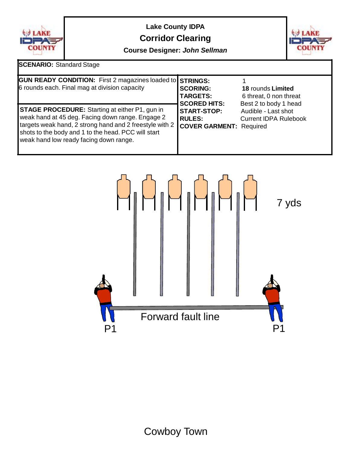

**Lake County IDPA Corridor Clearing**



**Course Designer:** *John Sellman*

| <b>GUN READY CONDITION:</b> First 2 magazines loaded to <b>STRINGS:</b><br>6 rounds each. Final mag at division capacity                                                                                                                                              | <b>SCORING:</b><br><b>TARGETS:</b><br><b>SCORED HITS:</b>             | 18 rounds Limited<br>6 threat, 0 non threat<br>Best 2 to body 1 head |
|-----------------------------------------------------------------------------------------------------------------------------------------------------------------------------------------------------------------------------------------------------------------------|-----------------------------------------------------------------------|----------------------------------------------------------------------|
| <b>STAGE PROCEDURE:</b> Starting at either P1, gun in<br>weak hand at 45 deg. Facing down range. Engage 2<br>targets weak hand, 2 strong hand and 2 freestyle with 2<br>shots to the body and 1 to the head. PCC will start<br>weak hand low ready facing down range. | <b>START-STOP:</b><br><b>RULES:</b><br><b>COVER GARMENT: Required</b> | Audible - Last shot<br><b>Current IDPA Rulebook</b>                  |